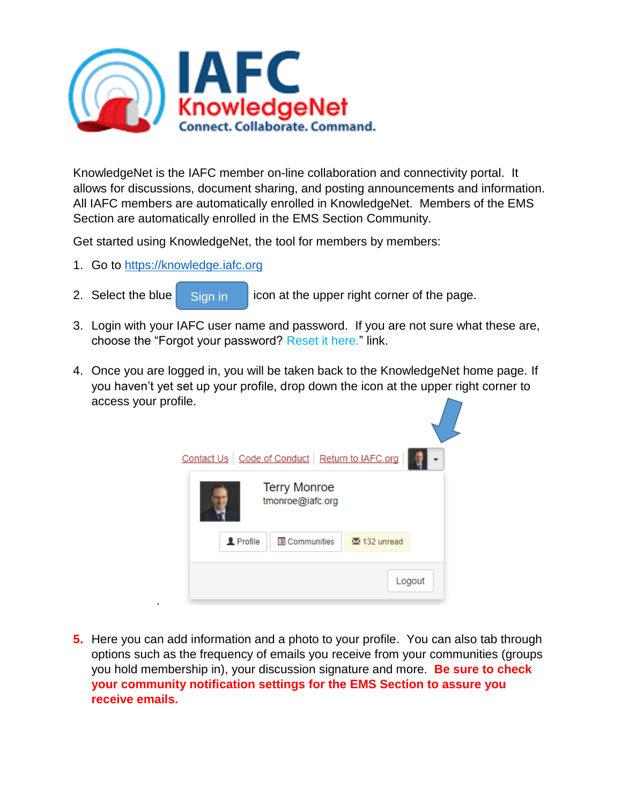

KnowledgeNet is the IAFC member on-line collaboration and connectivity portal. It allows for discussions, document sharing, and posting announcements and information. All IAFC members are automatically enrolled in KnowledgeNet. Members of the EMS Section are automatically enrolled in the EMS Section Community.

Get started using KnowledgeNet, the tool for members by members:

1. Go to [https://knowledge.iafc.org](https://knowledge.iafc.org/)

.

- 2. Select the blue  $\|\cdot\|$  sign in  $\|\cdot\|$  icon at the upper right corner of the page. Sign in
- 3. Login with your IAFC user name and password. If you are not sure what these are, choose the "Forgot your password? Reset it here." link.
- 4. Once you are logged in, you will be taken back to the KnowledgeNet home page. If you haven't yet set up your profile, drop down the icon at the upper right corner to access your profile.



**5.** Here you can add information and a photo to your profile. You can also tab through options such as the frequency of emails you receive from your communities (groups you hold membership in), your discussion signature and more. **Be sure to check your community notification settings for the EMS Section to assure you receive emails.**